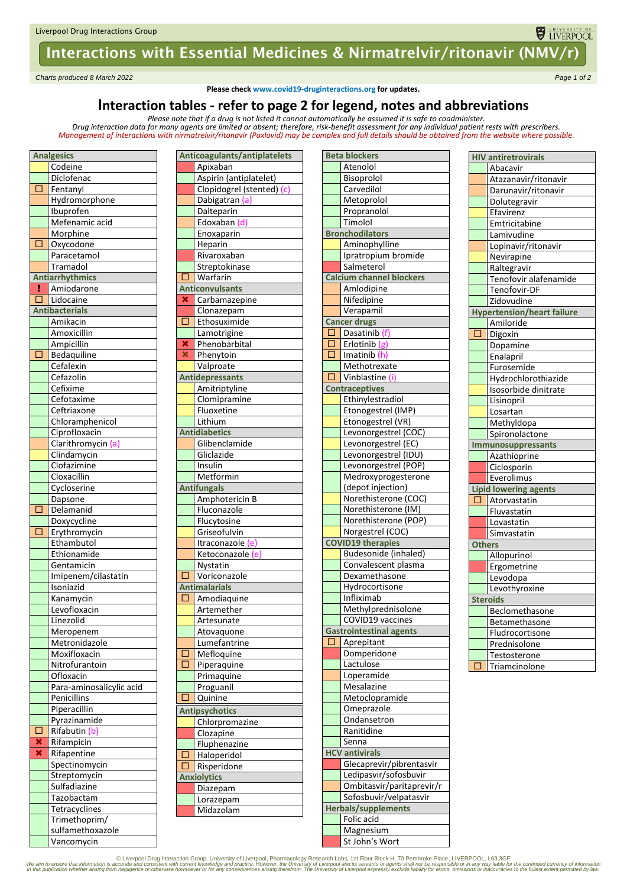# Interactions with Essential Medicines & Nirmatrelvir/ritonavir (NMV/r)

*Charts produced 8 March 2022 Page 1 of 2*

**Please check www.covid19-druginteractions.org for updates.**

### **Interaction tables - refer to page 2 for legend, notes and abbreviations**

*Please note that if a drug is not listed it cannot automatically be assumed it is safe to coadminister. Drug interaction data for many agents are limited or absent; therefore, risk-benefit assessment for any individual patient rests with prescribers.* 

*Management of interactions with nirmatrelvir/ritonavir (Paxlovid) may be complex and full details should be obtained from the website where possible.*

| <b>Analgesics</b> |                          |  |  |  |  |
|-------------------|--------------------------|--|--|--|--|
|                   | Codeine                  |  |  |  |  |
|                   | Diclofenac               |  |  |  |  |
| Г                 | Fentanyl                 |  |  |  |  |
|                   | Hydromorphone            |  |  |  |  |
|                   | Ibuprofen                |  |  |  |  |
|                   | Mefenamic acid           |  |  |  |  |
|                   | Morphine                 |  |  |  |  |
| □                 | Oxycodone                |  |  |  |  |
|                   | Paracetamol              |  |  |  |  |
|                   | Tramadol                 |  |  |  |  |
|                   | <b>Antiarrhythmics</b>   |  |  |  |  |
| н                 | Amiodarone               |  |  |  |  |
| □                 | Lidocaine                |  |  |  |  |
|                   | <b>Antibacterials</b>    |  |  |  |  |
|                   | Amikacin                 |  |  |  |  |
|                   | Amoxicillin              |  |  |  |  |
|                   | Ampicillin               |  |  |  |  |
| □                 | Bedaquiline              |  |  |  |  |
|                   | Cefalexin                |  |  |  |  |
|                   | Cefazolin                |  |  |  |  |
|                   | Cefixime                 |  |  |  |  |
|                   | Cefotaxime               |  |  |  |  |
|                   | Ceftriaxone              |  |  |  |  |
|                   | Chloramphenicol          |  |  |  |  |
|                   | Ciprofloxacin            |  |  |  |  |
|                   | Clarithromycin (a)       |  |  |  |  |
|                   | Clindamycin              |  |  |  |  |
|                   | Clofazimine              |  |  |  |  |
|                   | Cloxacillin              |  |  |  |  |
|                   | Cycloserine              |  |  |  |  |
| □                 | Dapsone                  |  |  |  |  |
|                   | Delamanid<br>Doxycycline |  |  |  |  |
| □                 | Erythromycin             |  |  |  |  |
|                   | Ethambutol               |  |  |  |  |
|                   | Ethionamide              |  |  |  |  |
|                   | Gentamicin               |  |  |  |  |
|                   | Imipenem/cilastatin      |  |  |  |  |
|                   | Isoniazid                |  |  |  |  |
|                   | Kanamycin                |  |  |  |  |
|                   | Levofloxacin             |  |  |  |  |
|                   | Linezolid                |  |  |  |  |
|                   | Meropenem                |  |  |  |  |
|                   | Metronidazole            |  |  |  |  |
|                   | Moxifloxacin             |  |  |  |  |
|                   | Nitrofurantoin           |  |  |  |  |
|                   | Ofloxacin                |  |  |  |  |
|                   | Para-aminosalicylic acid |  |  |  |  |
|                   | Penicillins              |  |  |  |  |
|                   | Piperacillin             |  |  |  |  |
|                   | Pyrazinamide             |  |  |  |  |
| $\Box$            | Rifabutin (b)            |  |  |  |  |
| ×                 | Rifampicin               |  |  |  |  |
| ×                 | Rifapentine              |  |  |  |  |
|                   | Spectinomycin            |  |  |  |  |
|                   | Streptomycin             |  |  |  |  |
|                   | Sulfadiazine             |  |  |  |  |
|                   | Tazobactam               |  |  |  |  |
|                   | Tetracyclines            |  |  |  |  |
|                   | Trimethoprim/            |  |  |  |  |
|                   | sulfamethoxazole         |  |  |  |  |
|                   | Vancomycin               |  |  |  |  |

|                   | Anticoagulants/antiplatelets |
|-------------------|------------------------------|
|                   | Apixaban                     |
|                   | Aspirin (antiplatelet)       |
|                   | Clopidogrel (stented) (c)    |
|                   | Dabigatran (a)               |
|                   | Dalteparin                   |
|                   | Edoxaban (d)                 |
|                   | Enoxaparin                   |
|                   | Heparin                      |
|                   | Rivaroxaban                  |
|                   | Streptokinase                |
| $\overline{\Box}$ | Warfarin                     |
|                   | <b>Anticonvulsants</b>       |
|                   |                              |
| ×                 | Carbamazepine                |
|                   | Clonazepam                   |
| $\overline{\Box}$ | Ethosuximide                 |
|                   | Lamotrigine                  |
| ×                 | Phenobarbital                |
| ×                 | Phenytoin                    |
|                   | Valproate                    |
|                   | <b>Antidepressants</b>       |
|                   | Amitriptyline                |
|                   | Clomipramine                 |
|                   | Fluoxetine                   |
|                   | Lithium                      |
|                   | <b>Antidiabetics</b>         |
|                   | Glibenclamide                |
|                   | Gliclazide                   |
|                   | Insulin                      |
|                   | Metformin                    |
|                   | <b>Antifungals</b>           |
|                   | Amphotericin B               |
|                   | Fluconazole                  |
|                   | Flucytosine                  |
|                   | Griseofulvin                 |
|                   | Itraconazole (e)             |
|                   | Ketoconazole (e)             |
|                   | Nystatin                     |
| L                 | Voriconazole                 |
|                   | <b>Antimalarials</b>         |
| С                 | Amodiaquine                  |
|                   | Artemether                   |
|                   | Artesunate                   |
|                   | Atovaquone                   |
|                   | Lumefantrine                 |
|                   | Mefloquine                   |
| Г                 | Piperaquine                  |
|                   | Primaquine                   |
|                   | Proguanil                    |
| c                 | Quinine                      |
|                   |                              |
|                   | <b>Antipsychotics</b>        |
|                   | Chlorpromazine<br>Clozapine  |
|                   |                              |
|                   | Fluphenazine                 |
| ı                 | Haloperidol                  |
| Г<br>1            | Risperidone                  |
|                   | <b>Anxiolytics</b>           |
|                   | Diazepam                     |
|                   | Lorazepam                    |
|                   | Midazolam                    |
|                   |                              |

|                      | <b>Beta blockers</b>            |  |  |
|----------------------|---------------------------------|--|--|
|                      | Atenolol                        |  |  |
|                      | Bisoprolol                      |  |  |
|                      | Carvedilol                      |  |  |
|                      | Metoprolol                      |  |  |
|                      | Propranolol                     |  |  |
|                      | Timolol                         |  |  |
|                      | <b>Bronchodilators</b>          |  |  |
|                      | Aminophylline                   |  |  |
|                      | Ipratropium bromide             |  |  |
|                      | Salmeterol                      |  |  |
|                      | <b>Calcium channel blockers</b> |  |  |
|                      | Amlodipine                      |  |  |
|                      | Nifedipine                      |  |  |
|                      | Verapamil                       |  |  |
|                      | <b>Cancer drugs</b>             |  |  |
| $\overline{\Box}$    | Dasatinib (f)                   |  |  |
| $\overline{\square}$ | Erlotinib (g)                   |  |  |
| Ē<br>D               | Imatinib (h)                    |  |  |
|                      | Methotrexate                    |  |  |
| $\overline{\square}$ | Vinblastine (i)                 |  |  |
|                      | <b>Contraceptives</b>           |  |  |
|                      | Ethinylestradiol                |  |  |
|                      | Etonogestrel (IMP)              |  |  |
|                      | Etonogestrel (VR)               |  |  |
|                      | Levonorgestrel (COC)            |  |  |
|                      | Levonorgestrel (EC)             |  |  |
|                      | Levonorgestrel (IDU)            |  |  |
|                      | Levonorgestrel (POP)            |  |  |
|                      | Medroxyprogesterone             |  |  |
|                      | (depot injection)               |  |  |
|                      | Norethisterone (COC)            |  |  |
|                      | Norethisterone (IM)             |  |  |
|                      | Norethisterone (POP)            |  |  |
|                      | Norgestrel (COC)                |  |  |
|                      | <b>COVID19</b> therapies        |  |  |
|                      | Budesonide (inhaled)            |  |  |
|                      | Convalescent plasma             |  |  |
|                      | Dexamethasone                   |  |  |
|                      | Hydrocortisone                  |  |  |
|                      | Infliximab                      |  |  |
|                      | Methylprednisolone              |  |  |
|                      | COVID19 vaccines                |  |  |
|                      | Gastrointestinal agents         |  |  |
| $\Box$               | Aprepitant                      |  |  |
|                      | Domperidone                     |  |  |
|                      | Lactulose                       |  |  |
|                      | Loperamide                      |  |  |
|                      | Mesalazine                      |  |  |
|                      | Metoclopramide                  |  |  |
|                      | Omeprazole                      |  |  |
|                      | Ondansetron                     |  |  |
|                      | Ranitidine                      |  |  |
|                      | Senna                           |  |  |
|                      | <b>HCV antivirals</b>           |  |  |
|                      | Glecaprevir/pibrentasvir        |  |  |
|                      | Ledipasvir/sofosbuvir           |  |  |
|                      | Ombitasvir/paritaprevir/r       |  |  |
|                      | Sofosbuvir/velpatasvir          |  |  |
|                      | <b>Herbals/supplements</b>      |  |  |
|                      | Folic acid                      |  |  |
|                      | Magnesium                       |  |  |

| <b>HIV antiretrovirals</b> |                                   |  |  |  |
|----------------------------|-----------------------------------|--|--|--|
|                            | Abacavir                          |  |  |  |
|                            | Atazanavir/ritonavir              |  |  |  |
|                            | Darunavir/ritonavir               |  |  |  |
|                            | Dolutegravir                      |  |  |  |
|                            | Efavirenz                         |  |  |  |
|                            | Emtricitabine                     |  |  |  |
|                            | Lamivudine                        |  |  |  |
|                            | Lopinavir/ritonavir               |  |  |  |
|                            | Nevirapine                        |  |  |  |
|                            | Raltegravir                       |  |  |  |
|                            | Tenofovir alafenamide             |  |  |  |
|                            | Tenofovir-DF                      |  |  |  |
|                            | Zidovudine                        |  |  |  |
|                            | <b>Hypertension/heart failure</b> |  |  |  |
|                            | Amiloride                         |  |  |  |
| □                          | Digoxin                           |  |  |  |
|                            | Dopamine                          |  |  |  |
|                            |                                   |  |  |  |
|                            | Enalapril                         |  |  |  |
|                            | Furosemide                        |  |  |  |
|                            | Hydrochlorothiazide               |  |  |  |
|                            | Isosorbide dinitrate              |  |  |  |
|                            | Lisinopril                        |  |  |  |
|                            | Losartan                          |  |  |  |
|                            | Methyldopa                        |  |  |  |
|                            | Spironolactone                    |  |  |  |
|                            | Immunosuppressants                |  |  |  |
|                            | Azathioprine                      |  |  |  |
|                            | Ciclosporin                       |  |  |  |
|                            | Everolimus                        |  |  |  |
|                            | <b>Lipid lowering agents</b>      |  |  |  |
| Е                          | Atorvastatin                      |  |  |  |
|                            | Fluvastatin                       |  |  |  |
|                            | Lovastatin                        |  |  |  |
|                            | Simvastatin                       |  |  |  |
| <b>Others</b>              |                                   |  |  |  |
|                            | Allopurinol                       |  |  |  |
|                            | Ergometrine                       |  |  |  |
|                            | Levodopa                          |  |  |  |
|                            | Levothyroxine                     |  |  |  |
|                            | <b>Steroids</b>                   |  |  |  |
|                            | Beclomethasone                    |  |  |  |
|                            | Betamethasone                     |  |  |  |
|                            | Fludrocortisone                   |  |  |  |
|                            | Prednisolone                      |  |  |  |
|                            | Testosterone                      |  |  |  |
| П                          | Triamcinolone                     |  |  |  |
|                            |                                   |  |  |  |

UNIVERSITY OF

© Liverpool Drug Interaction Group, University of Liverpool, Pharmacology Research Labs, 1st Floor Block H, 70 Pembroke Place, LIVERPOOL, L69 3GF © (@Durencion is currency of information<br>In this publication whether arising

St John's Wort